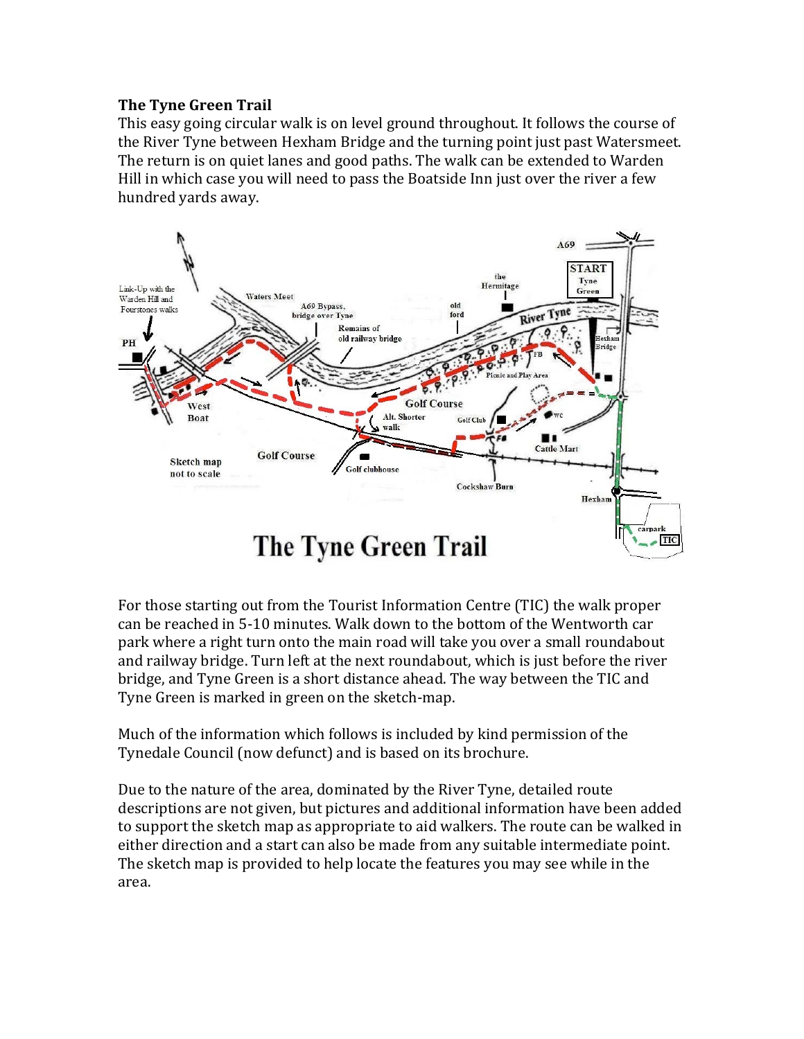## **The Tyne Green Trail**

This easy going circular walk is on level ground throughout. It follows the course of the River Tyne between Hexham Bridge and the turning point just past Watersmeet. The return is on quiet lanes and good paths. The walk can be extended to Warden Hill in which case you will need to pass the Boatside Inn just over the river a few hundred yards away.



For those starting out from the Tourist Information Centre (TIC) the walk proper can be reached in 5-10 minutes. Walk down to the bottom of the Wentworth car park where a right turn onto the main road will take you over a small roundabout and railway bridge. Turn left at the next roundabout, which is just before the river bridge, and Tyne Green is a short distance ahead. The way between the TIC and Tyne Green is marked in green on the sketch-map.

Much of the information which follows is included by kind permission of the Tynedale Council (now defunct) and is based on its brochure.

Due to the nature of the area, dominated by the River Tyne, detailed route descriptions are not given, but pictures and additional information have been added to support the sketch map as appropriate to aid walkers. The route can be walked in either direction and a start can also be made from any suitable intermediate point. The sketch map is provided to help locate the features you may see while in the area.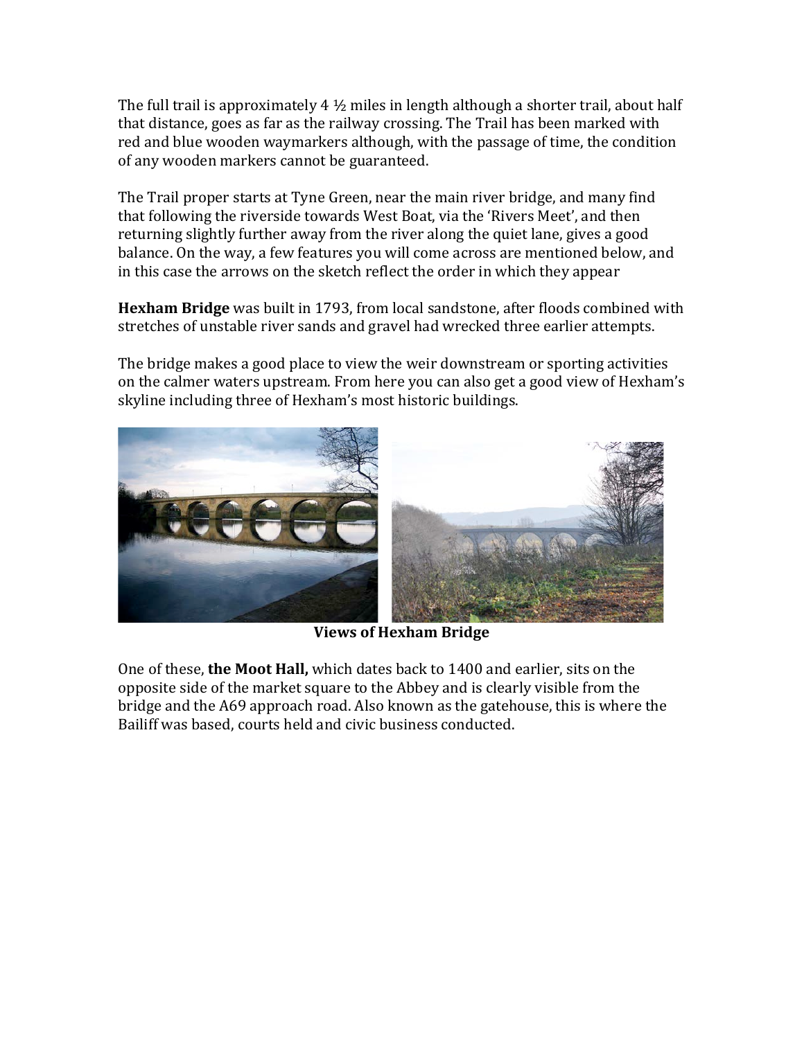The full trail is approximately 4  $\frac{1}{2}$  miles in length although a shorter trail, about half that distance, goes as far as the railway crossing. The Trail has been marked with red and blue wooden waymarkers although, with the passage of time, the condition of any wooden markers cannot be guaranteed.

The Trail proper starts at Tyne Green, near the main river bridge, and many find that following the riverside towards West Boat, via the 'Rivers Meet', and then returning slightly further away from the river along the quiet lane, gives a good balance. On the way, a few features you will come across are mentioned below, and in this case the arrows on the sketch reflect the order in which they appear

**Hexham Bridge** was built in 1793, from local sandstone, after floods combined with stretches of unstable river sands and gravel had wrecked three earlier attempts.

The bridge makes a good place to view the weir downstream or sporting activities on the calmer waters upstream. From here you can also get a good view of Hexham's skyline including three of Hexham's most historic buildings.



 **Views of Hexham Bridge**

One of these, **the Moot Hall,** which dates back to 1400 and earlier, sits on the opposite side of the market square to the Abbey and is clearly visible from the bridge and the A69 approach road. Also known as the gatehouse, this is where the Bailiff was based, courts held and civic business conducted.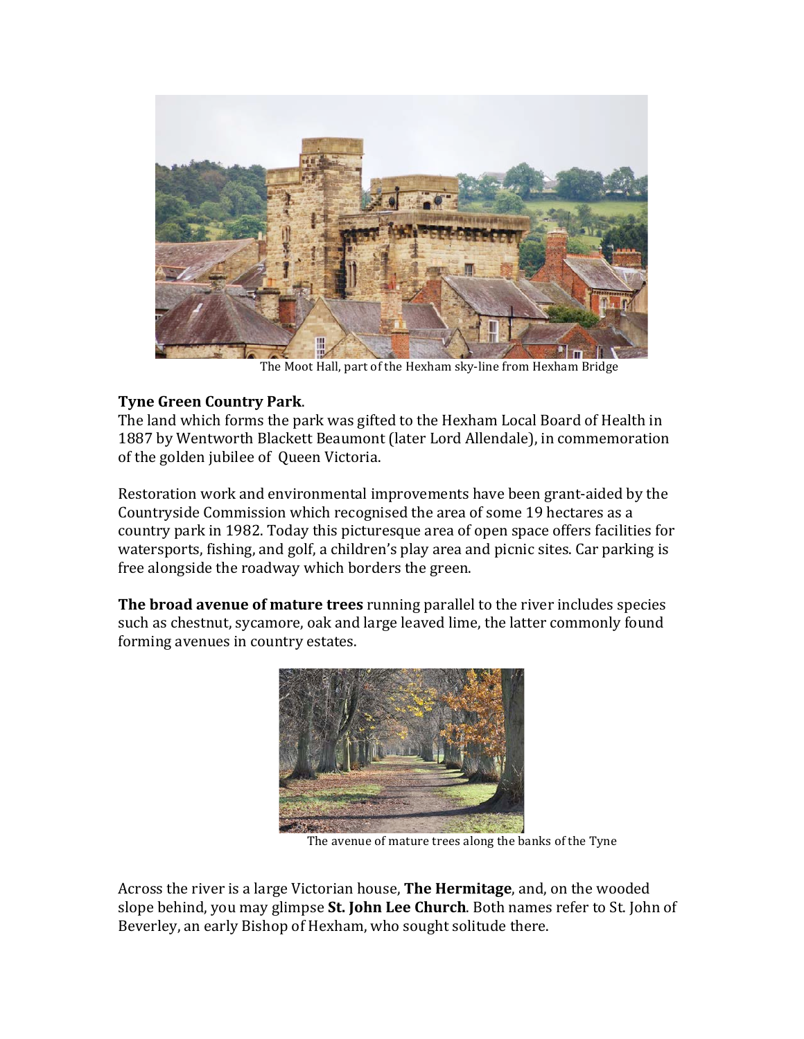

The Moot Hall, part of the Hexham sky-line from Hexham Bridge

# **Tyne Green Country Park**.

The land which forms the park was gifted to the Hexham Local Board of Health in 1887 by Wentworth Blackett Beaumont (later Lord Allendale), in commemoration of the golden jubilee of Queen Victoria.

Restoration work and environmental improvements have been grant-aided by the Countryside Commission which recognised the area of some 19 hectares as a country park in 1982. Today this picturesque area of open space offers facilities for watersports, fishing, and golf, a children's play area and picnic sites. Car parking is free alongside the roadway which borders the green.

**The broad avenue of mature trees** running parallel to the river includes species such as chestnut, sycamore, oak and large leaved lime, the latter commonly found forming avenues in country estates.



The avenue of mature trees along the banks of the Tyne

Across the river is a large Victorian house, **The Hermitage**, and, on the wooded slope behind, you may glimpse **St. John Lee Church**. Both names refer to St. John of Beverley, an early Bishop of Hexham, who sought solitude there.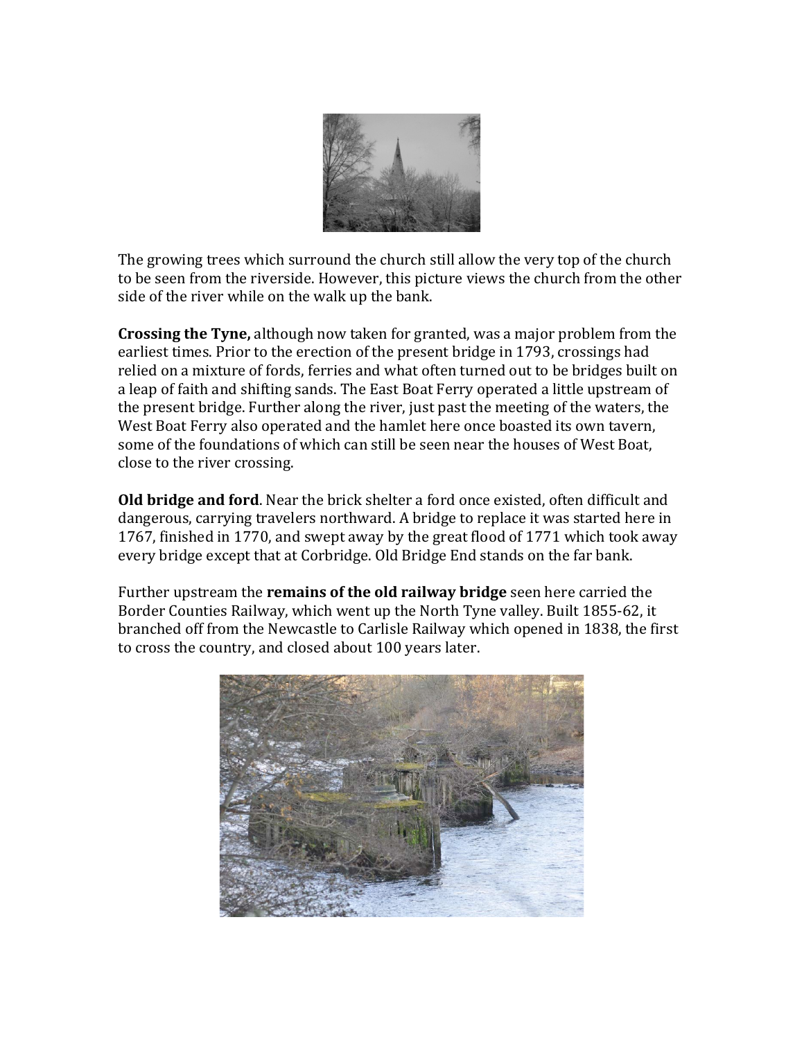

The growing trees which surround the church still allow the very top of the church to be seen from the riverside. However, this picture views the church from the other side of the river while on the walk up the bank.

**Crossing the Tyne,** although now taken for granted, was a major problem from the earliest times. Prior to the erection of the present bridge in 1793, crossings had relied on a mixture of fords, ferries and what often turned out to be bridges built on a leap of faith and shifting sands. The East Boat Ferry operated a little upstream of the present bridge. Further along the river, just past the meeting of the waters, the West Boat Ferry also operated and the hamlet here once boasted its own tavern, some of the foundations of which can still be seen near the houses of West Boat, close to the river crossing.

**Old bridge and ford**. Near the brick shelter a ford once existed, often difficult and dangerous, carrying travelers northward. A bridge to replace it was started here in 1767, finished in 1770, and swept away by the great flood of 1771 which took away every bridge except that at Corbridge. Old Bridge End stands on the far bank.

Further upstream the **remains of the old railway bridge** seen here carried the Border Counties Railway, which went up the North Tyne valley. Built 1855-62, it branched off from the Newcastle to Carlisle Railway which opened in 1838, the first to cross the country, and closed about 100 years later.